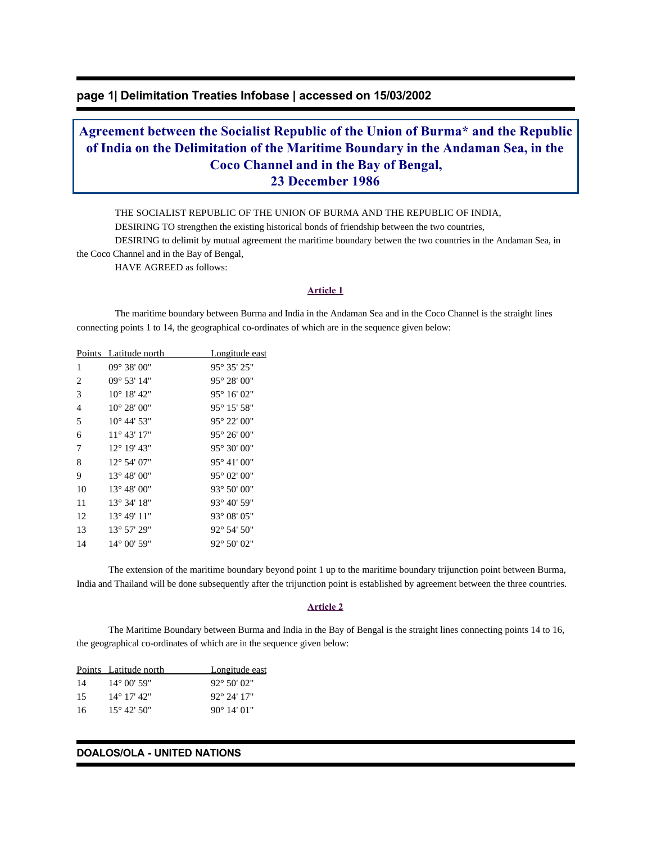# **page 1| Delimitation Treaties Infobase | accessed on 15/03/2002**

# **Agreement between the Socialist Republic of the Union of Burma\* and the Republic of India on the Delimitation of the Maritime Boundary in the Andaman Sea, in the Coco Channel and in the Bay of Bengal, 23 December 1986**

THE SOCIALIST REPUBLIC OF THE UNION OF BURMA AND THE REPUBLIC OF INDIA,

DESIRING TO strengthen the existing historical bonds of friendship between the two countries,

 DESIRING to delimit by mutual agreement the maritime boundary betwen the two countries in the Andaman Sea, in the Coco Channel and in the Bay of Bengal,

HAVE AGREED as follows:

#### **Article 1**

 The maritime boundary between Burma and India in the Andaman Sea and in the Coco Channel is the straight lines connecting points 1 to 14, the geographical co-ordinates of which are in the sequence given below:

|    | Points Latitude north  | Longitude east       |
|----|------------------------|----------------------|
| 1  | $09^{\circ}$ 38' $00"$ | 95° 35' 25"          |
| 2  | $09^{\circ} 53' 14"$   | 95° 28' 00"          |
| 3  | $10^{\circ}$ 18' 42"   | $95^{\circ} 16' 02"$ |
| 4  | $10^{\circ} 28' 00''$  | 95° 15' 58"          |
| 5  | $10^{\circ}$ 44' 53"   | 95° 22' 00"          |
| 6  | $11^{\circ} 43' 17"$   | 95° 26' 00"          |
| 7  | $12^{\circ}$ 19' 43"   | 95° 30' 00"          |
| 8  | 12° 54' 07"            | 95° 41' 00"          |
| 9  | $13^{\circ} 48' 00''$  | 95° 02' 00"          |
| 10 | 13° 48' 00"            | 93° 50' 00"          |
| 11 | 13° 34' 18"            | 93° 40' 59"          |
| 12 | 13° 49' 11"            | 93° 08' 05"          |
| 13 | 13° 57' 29"            | 92° 54' 50"          |
| 14 | 14° 00' 59"            | 92° 50' 02"          |

 The extension of the maritime boundary beyond point 1 up to the maritime boundary trijunction point between Burma, India and Thailand will be done subsequently after the trijunction point is established by agreement between the three countries.

## **Article 2**

 The Maritime Boundary between Burma and India in the Bay of Bengal is the straight lines connecting points 14 to 16, the geographical co-ordinates of which are in the sequence given below:

|     | Points Latitude north   | Longitude east        |
|-----|-------------------------|-----------------------|
| 14  | $14^{\circ}$ 00' 59"    | $92^{\circ} 50' 02''$ |
| 15  | $14^{\circ}$ 17' $42$ " | $92^{\circ}$ 24' 17"  |
| -16 | $15^{\circ}$ 42' 50"    | $90^{\circ}$ 14' 01"  |

#### **DOALOS/OLA - UNITED NATIONS**